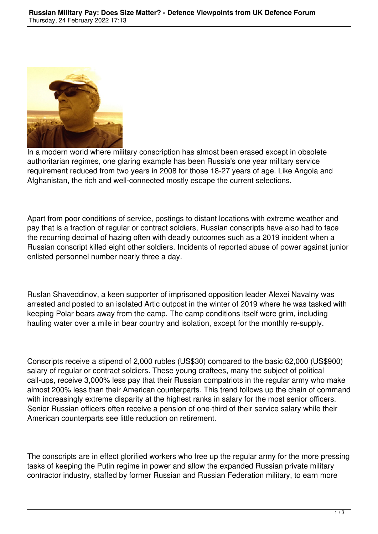

In a modern world where military conscription has almost been erased except in obsolete authoritarian regimes, one glaring example has been Russia's one year military service requirement reduced from two years in 2008 for those 18-27 years of age. Like Angola and Afghanistan, the rich and well-connected mostly escape the current selections.

Apart from poor conditions of service, postings to distant locations with extreme weather and pay that is a fraction of regular or contract soldiers, Russian conscripts have also had to face the recurring decimal of hazing often with deadly outcomes such as a 2019 incident when a Russian conscript killed eight other soldiers. Incidents of reported abuse of power against junior enlisted personnel number nearly three a day.

Ruslan Shaveddinov, a keen supporter of imprisoned opposition leader Alexei Navalny was arrested and posted to an isolated Artic outpost in the winter of 2019 where he was tasked with keeping Polar bears away from the camp. The camp conditions itself were grim, including hauling water over a mile in bear country and isolation, except for the monthly re-supply.

Conscripts receive a stipend of 2,000 rubles (US\$30) compared to the basic 62,000 (US\$900) salary of regular or contract soldiers. These young draftees, many the subject of political call-ups, receive 3,000% less pay that their Russian compatriots in the regular army who make almost 200% less than their American counterparts. This trend follows up the chain of command with increasingly extreme disparity at the highest ranks in salary for the most senior officers. Senior Russian officers often receive a pension of one-third of their service salary while their American counterparts see little reduction on retirement.

The conscripts are in effect glorified workers who free up the regular army for the more pressing tasks of keeping the Putin regime in power and allow the expanded Russian private military contractor industry, staffed by former Russian and Russian Federation military, to earn more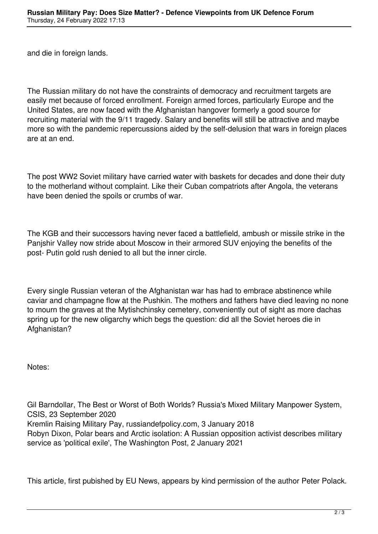and die in foreign lands.

The Russian military do not have the constraints of democracy and recruitment targets are easily met because of forced enrollment. Foreign armed forces, particularly Europe and the United States, are now faced with the Afghanistan hangover formerly a good source for recruiting material with the 9/11 tragedy. Salary and benefits will still be attractive and maybe more so with the pandemic repercussions aided by the self-delusion that wars in foreign places are at an end.

The post WW2 Soviet military have carried water with baskets for decades and done their duty to the motherland without complaint. Like their Cuban compatriots after Angola, the veterans have been denied the spoils or crumbs of war.

The KGB and their successors having never faced a battlefield, ambush or missile strike in the Panjshir Valley now stride about Moscow in their armored SUV enjoying the benefits of the post- Putin gold rush denied to all but the inner circle.

Every single Russian veteran of the Afghanistan war has had to embrace abstinence while caviar and champagne flow at the Pushkin. The mothers and fathers have died leaving no none to mourn the graves at the Mytishchinsky cemetery, conveniently out of sight as more dachas spring up for the new oligarchy which begs the question: did all the Soviet heroes die in Afghanistan?

Notes:

Gil Barndollar, The Best or Worst of Both Worlds? Russia's Mixed Military Manpower System, CSIS, 23 September 2020 Kremlin Raising Military Pay, russiandefpolicy.com, 3 January 2018 Robyn Dixon, Polar bears and Arctic isolation: A Russian opposition activist describes military service as 'political exile', The Washington Post, 2 January 2021

This article, first pubished by EU News, appears by kind permission of the author Peter Polack.